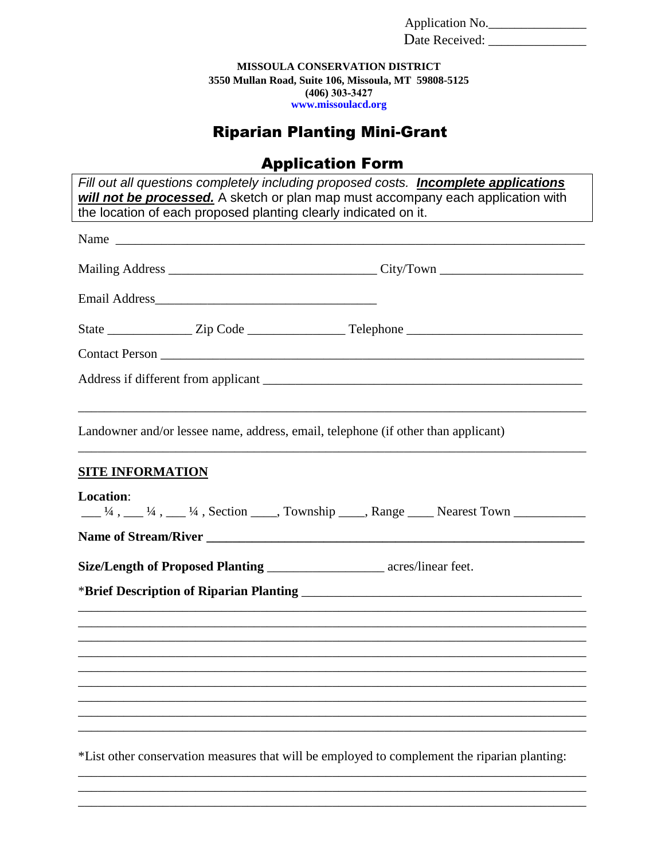Application No.

Date Received: \_\_\_\_\_\_\_\_\_\_\_\_\_\_\_

**MISSOULA CONSERVATION DISTRICT 3550 Mullan Road, Suite 106, Missoula, MT 59808-5125 (406) 303-3427 [www.missoulacd.or](http://www.missoulacd.org/)g**

## Riparian Planting Mini-Grant

## Application Form

| Fill out all questions completely including proposed costs. <b>Incomplete applications</b><br>will not be processed. A sketch or plan map must accompany each application with |  |  |  |
|--------------------------------------------------------------------------------------------------------------------------------------------------------------------------------|--|--|--|
| the location of each proposed planting clearly indicated on it.                                                                                                                |  |  |  |
|                                                                                                                                                                                |  |  |  |
|                                                                                                                                                                                |  |  |  |
|                                                                                                                                                                                |  |  |  |
|                                                                                                                                                                                |  |  |  |
|                                                                                                                                                                                |  |  |  |
|                                                                                                                                                                                |  |  |  |
| Landowner and/or lessee name, address, email, telephone (if other than applicant)                                                                                              |  |  |  |
| <b>SITE INFORMATION</b>                                                                                                                                                        |  |  |  |
| Location:<br>$\frac{1}{4}$ , $\frac{1}{4}$ , $\frac{1}{4}$ , $\frac{1}{4}$ , Section $\frac{1}{4}$ , Township $\frac{1}{4}$ , Range $\frac{1}{4}$ Nearest Town                 |  |  |  |
|                                                                                                                                                                                |  |  |  |
| Size/Length of Proposed Planting _____________________ acres/linear feet.                                                                                                      |  |  |  |
| *Brief Description of Riparian Planting Manual Account of Alpha and Account of Riparian Planting                                                                               |  |  |  |
| ,我们也不能在这里的时候,我们也不能在这里的时候,我们也不能会在这里的时候,我们也不能会在这里的时候,我们也不能会在这里的时候,我们也不能会在这里的时候,我们也不                                                                                              |  |  |  |
|                                                                                                                                                                                |  |  |  |
|                                                                                                                                                                                |  |  |  |
|                                                                                                                                                                                |  |  |  |
|                                                                                                                                                                                |  |  |  |
| *List other conservation measures that will be employed to complement the riparian planting:                                                                                   |  |  |  |

\_\_\_\_\_\_\_\_\_\_\_\_\_\_\_\_\_\_\_\_\_\_\_\_\_\_\_\_\_\_\_\_\_\_\_\_\_\_\_\_\_\_\_\_\_\_\_\_\_\_\_\_\_\_\_\_\_\_\_\_\_\_\_\_\_\_\_\_\_\_\_\_\_\_\_\_\_\_ \_\_\_\_\_\_\_\_\_\_\_\_\_\_\_\_\_\_\_\_\_\_\_\_\_\_\_\_\_\_\_\_\_\_\_\_\_\_\_\_\_\_\_\_\_\_\_\_\_\_\_\_\_\_\_\_\_\_\_\_\_\_\_\_\_\_\_\_\_\_\_\_\_\_\_\_\_\_